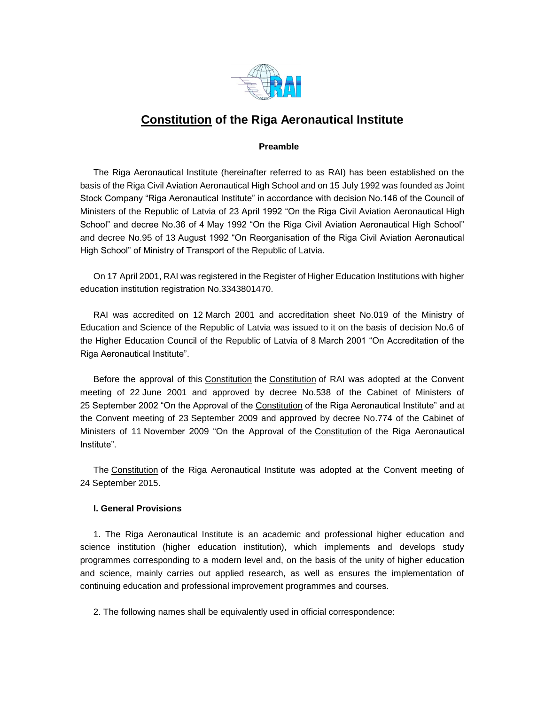

# **[Constitution](https://m.likumi.lv/ta/id/57980-latvijas-republikas-satversme) of the Riga Aeronautical Institute**

# **Preamble**

The Riga Aeronautical Institute (hereinafter referred to as RAI) has been established on the basis of the Riga Civil Aviation Aeronautical High School and on 15 July 1992 was founded as Joint Stock Company "Riga Aeronautical Institute" in accordance with decision No.146 of the Council of Ministers of the Republic of Latvia of 23 April 1992 "On the Riga Civil Aviation Aeronautical High School" and decree No.36 of 4 May 1992 "On the Riga Civil Aviation Aeronautical High School" and decree No.95 of 13 August 1992 "On Reorganisation of the Riga Civil Aviation Aeronautical High School" of Ministry of Transport of the Republic of Latvia.

On 17 April 2001, RAI was registered in the Register of Higher Education Institutions with higher education institution registration No.3343801470.

RAI was accredited on 12 March 2001 and accreditation sheet No.019 of the Ministry of Education and Science of the Republic of Latvia was issued to it on the basis of decision No.6 of the Higher Education Council of the Republic of Latvia of 8 March 2001 "On Accreditation of the Riga Aeronautical Institute".

Before the approval of this [Constitution](https://m.likumi.lv/ta/id/57980-latvijas-republikas-satversme) the [Constitution](https://m.likumi.lv/ta/id/57980-latvijas-republikas-satversme) of RAI was adopted at the Convent meeting of 22 June 2001 and approved by decree No.538 of the Cabinet of Ministers of 25 September 2002 "On the Approval of the [Constitution](https://m.likumi.lv/ta/id/57980-latvijas-republikas-satversme) of the Riga Aeronautical Institute" and at the Convent meeting of 23 September 2009 and approved by decree No.774 of the Cabinet of Ministers of 11 November 2009 "On the Approval of the [Constitution](https://m.likumi.lv/ta/id/57980-latvijas-republikas-satversme) of the Riga Aeronautical Institute".

The [Constitution](https://m.likumi.lv/ta/id/57980-latvijas-republikas-satversme) of the Riga Aeronautical Institute was adopted at the Convent meeting of 24 September 2015.

# **I. General Provisions**

1. The Riga Aeronautical Institute is an academic and professional higher education and science institution (higher education institution), which implements and develops study programmes corresponding to a modern level and, on the basis of the unity of higher education and science, mainly carries out applied research, as well as ensures the implementation of continuing education and professional improvement programmes and courses.

2. The following names shall be equivalently used in official correspondence: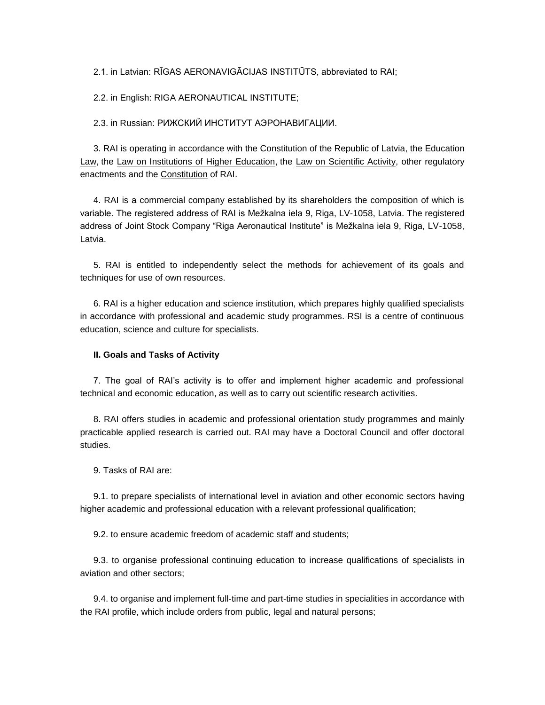2.1. in Latvian: RĪGAS AERONAVIGĀCIJAS INSTITŪTS, abbreviated to RAI;

2.2. in English: RIGA AERONAUTICAL INSTITUTE;

2.3. in Russian: РИЖСКИЙ ИНСТИТУТ АЭРОНАВИГАЦИИ.

3. RAI is operating in accordance with the [Constitution of the Republic of Latvia,](https://m.likumi.lv/ta/id/57980-latvijas-republikas-satversme) the [Education](https://m.likumi.lv/ta/id/50759-izglitibas-likums)  [Law,](https://m.likumi.lv/ta/id/50759-izglitibas-likums) the [Law on Institutions of Higher Education,](https://m.likumi.lv/ta/id/37967-augstskolu-likums) the [Law on Scientific Activity,](https://m.likumi.lv/ta/id/107337-zinatniskas-darbibas-likums) other regulatory enactments and the [Constitution](https://m.likumi.lv/ta/id/57980-latvijas-republikas-satversme) of RAI.

4. RAI is a commercial company established by its shareholders the composition of which is variable. The registered address of RAI is Mežkalna iela 9, Riga, LV-1058, Latvia. The registered address of Joint Stock Company "Riga Aeronautical Institute" is Mežkalna iela 9, Riga, LV-1058, Latvia.

5. RAI is entitled to independently select the methods for achievement of its goals and techniques for use of own resources.

6. RAI is a higher education and science institution, which prepares highly qualified specialists in accordance with professional and academic study programmes. RSI is a centre of continuous education, science and culture for specialists.

#### **II. Goals and Tasks of Activity**

7. The goal of RAI's activity is to offer and implement higher academic and professional technical and economic education, as well as to carry out scientific research activities.

8. RAI offers studies in academic and professional orientation study programmes and mainly practicable applied research is carried out. RAI may have a Doctoral Council and offer doctoral studies.

9. Tasks of RAI are:

9.1. to prepare specialists of international level in aviation and other economic sectors having higher academic and professional education with a relevant professional qualification;

9.2. to ensure academic freedom of academic staff and students;

9.3. to organise professional continuing education to increase qualifications of specialists in aviation and other sectors;

9.4. to organise and implement full-time and part-time studies in specialities in accordance with the RAI profile, which include orders from public, legal and natural persons;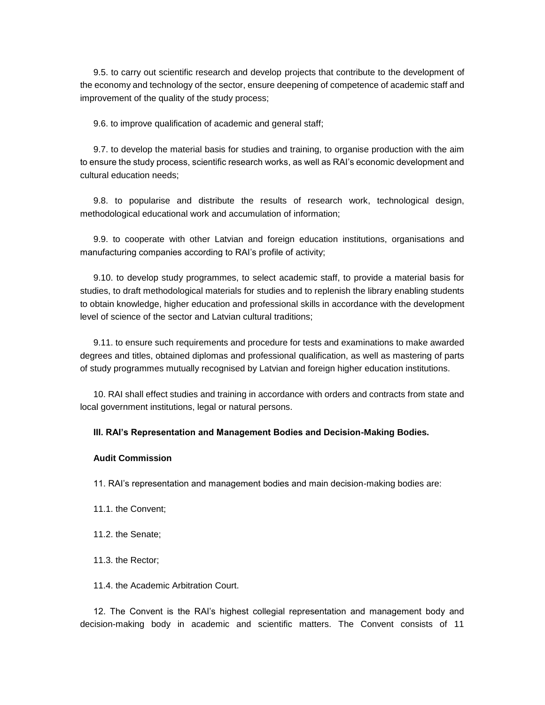9.5. to carry out scientific research and develop projects that contribute to the development of the economy and technology of the sector, ensure deepening of competence of academic staff and improvement of the quality of the study process;

9.6. to improve qualification of academic and general staff;

9.7. to develop the material basis for studies and training, to organise production with the aim to ensure the study process, scientific research works, as well as RAI's economic development and cultural education needs;

9.8. to popularise and distribute the results of research work, technological design, methodological educational work and accumulation of information;

9.9. to cooperate with other Latvian and foreign education institutions, organisations and manufacturing companies according to RAI's profile of activity;

9.10. to develop study programmes, to select academic staff, to provide a material basis for studies, to draft methodological materials for studies and to replenish the library enabling students to obtain knowledge, higher education and professional skills in accordance with the development level of science of the sector and Latvian cultural traditions;

9.11. to ensure such requirements and procedure for tests and examinations to make awarded degrees and titles, obtained diplomas and professional qualification, as well as mastering of parts of study programmes mutually recognised by Latvian and foreign higher education institutions.

10. RAI shall effect studies and training in accordance with orders and contracts from state and local government institutions, legal or natural persons.

#### **III. RAI's Representation and Management Bodies and Decision-Making Bodies.**

## **Audit Commission**

11. RAI's representation and management bodies and main decision-making bodies are:

- 11.1. the Convent;
- 11.2. the Senate;
- 11.3. the Rector;
- 11.4. the Academic Arbitration Court.

12. The Convent is the RAI's highest collegial representation and management body and decision-making body in academic and scientific matters. The Convent consists of 11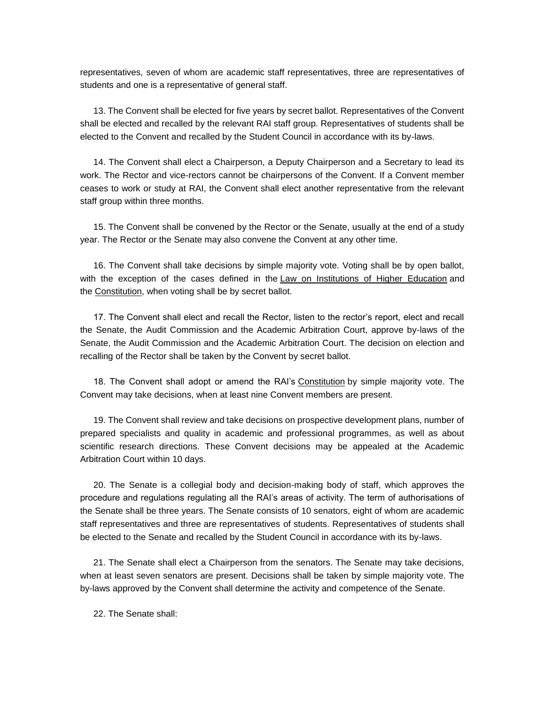representatives, seven of whom are academic staff representatives, three are representatives of students and one is a representative of general staff.

13. The Convent shall be elected for five years by secret ballot. Representatives of the Convent shall be elected and recalled by the relevant RAI staff group. Representatives of students shall be elected to the Convent and recalled by the Student Council in accordance with its by-laws.

14. The Convent shall elect a Chairperson, a Deputy Chairperson and a Secretary to lead its work. The Rector and vice-rectors cannot be chairpersons of the Convent. If a Convent member ceases to work or study at RAI, the Convent shall elect another representative from the relevant staff group within three months.

15. The Convent shall be convened by the Rector or the Senate, usually at the end of a study year. The Rector or the Senate may also convene the Convent at any other time.

16. The Convent shall take decisions by simple majority vote. Voting shall be by open ballot, with the exception of the cases defined in the [Law on Institutions of Higher Education](https://m.likumi.lv/ta/id/37967-augstskolu-likums) and the [Constitution,](https://m.likumi.lv/ta/id/57980-latvijas-republikas-satversme) when voting shall be by secret ballot.

17. The Convent shall elect and recall the Rector, listen to the rector's report, elect and recall the Senate, the Audit Commission and the Academic Arbitration Court, approve by-laws of the Senate, the Audit Commission and the Academic Arbitration Court. The decision on election and recalling of the Rector shall be taken by the Convent by secret ballot.

18. The Convent shall adopt or amend the RAI's [Constitution](https://m.likumi.lv/ta/id/57980-latvijas-republikas-satversme) by simple majority vote. The Convent may take decisions, when at least nine Convent members are present.

19. The Convent shall review and take decisions on prospective development plans, number of prepared specialists and quality in academic and professional programmes, as well as about scientific research directions. These Convent decisions may be appealed at the Academic Arbitration Court within 10 days.

20. The Senate is a collegial body and decision-making body of staff, which approves the procedure and regulations regulating all the RAI's areas of activity. The term of authorisations of the Senate shall be three years. The Senate consists of 10 senators, eight of whom are academic staff representatives and three are representatives of students. Representatives of students shall be elected to the Senate and recalled by the Student Council in accordance with its by-laws.

21. The Senate shall elect a Chairperson from the senators. The Senate may take decisions, when at least seven senators are present. Decisions shall be taken by simple majority vote. The by-laws approved by the Convent shall determine the activity and competence of the Senate.

22. The Senate shall: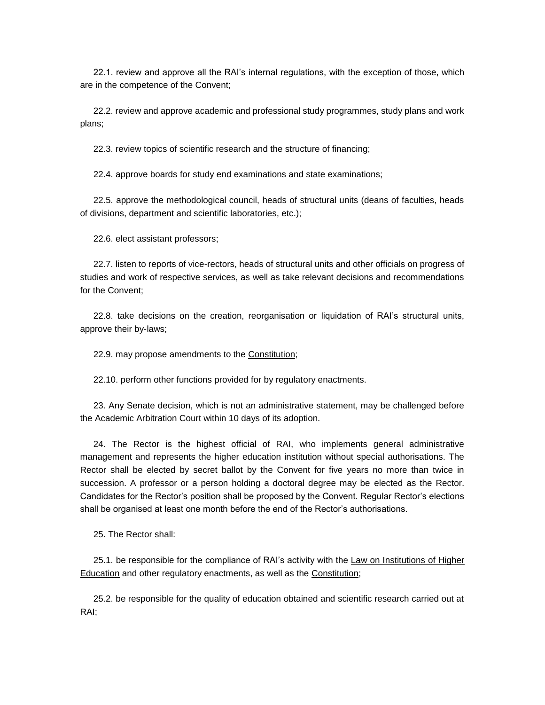22.1. review and approve all the RAI's internal regulations, with the exception of those, which are in the competence of the Convent;

22.2. review and approve academic and professional study programmes, study plans and work plans;

22.3. review topics of scientific research and the structure of financing;

22.4. approve boards for study end examinations and state examinations;

22.5. approve the methodological council, heads of structural units (deans of faculties, heads of divisions, department and scientific laboratories, etc.);

22.6. elect assistant professors;

22.7. listen to reports of vice-rectors, heads of structural units and other officials on progress of studies and work of respective services, as well as take relevant decisions and recommendations for the Convent;

22.8. take decisions on the creation, reorganisation or liquidation of RAI's structural units, approve their by-laws;

22.9. may propose amendments to the [Constitution;](https://m.likumi.lv/ta/id/57980-latvijas-republikas-satversme)

22.10. perform other functions provided for by regulatory enactments.

23. Any Senate decision, which is not an administrative statement, may be challenged before the Academic Arbitration Court within 10 days of its adoption.

24. The Rector is the highest official of RAI, who implements general administrative management and represents the higher education institution without special authorisations. The Rector shall be elected by secret ballot by the Convent for five years no more than twice in succession. A professor or a person holding a doctoral degree may be elected as the Rector. Candidates for the Rector's position shall be proposed by the Convent. Regular Rector's elections shall be organised at least one month before the end of the Rector's authorisations.

25. The Rector shall:

25.1. be responsible for the compliance of RAI's activity with the [Law on Institutions of Higher](https://m.likumi.lv/ta/id/37967-augstskolu-likums)  [Education](https://m.likumi.lv/ta/id/37967-augstskolu-likums) and other regulatory enactments, as well as the [Constitution;](https://m.likumi.lv/ta/id/57980-latvijas-republikas-satversme)

25.2. be responsible for the quality of education obtained and scientific research carried out at RAI;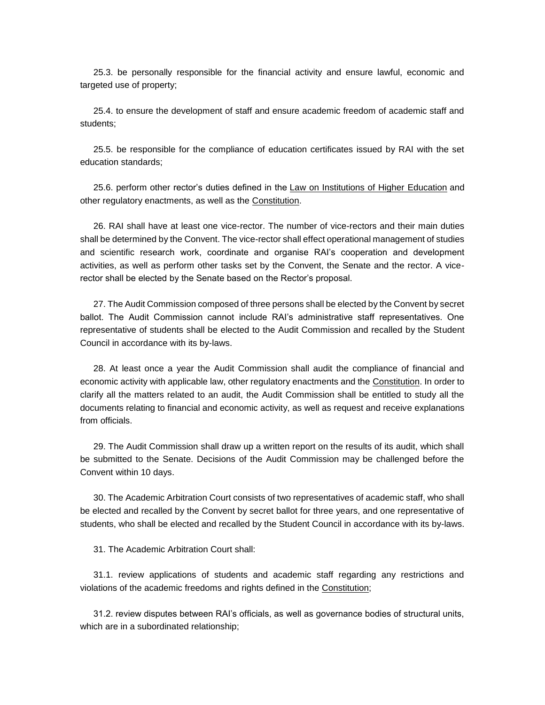25.3. be personally responsible for the financial activity and ensure lawful, economic and targeted use of property;

25.4. to ensure the development of staff and ensure academic freedom of academic staff and students;

25.5. be responsible for the compliance of education certificates issued by RAI with the set education standards;

25.6. perform other rector's duties defined in the [Law on Institutions of Higher Education](https://m.likumi.lv/ta/id/37967-augstskolu-likums) and other regulatory enactments, as well as the [Constitution.](https://m.likumi.lv/ta/id/57980-latvijas-republikas-satversme)

26. RAI shall have at least one vice-rector. The number of vice-rectors and their main duties shall be determined by the Convent. The vice-rector shall effect operational management of studies and scientific research work, coordinate and organise RAI's cooperation and development activities, as well as perform other tasks set by the Convent, the Senate and the rector. A vicerector shall be elected by the Senate based on the Rector's proposal.

27. The Audit Commission composed of three persons shall be elected by the Convent by secret ballot. The Audit Commission cannot include RAI's administrative staff representatives. One representative of students shall be elected to the Audit Commission and recalled by the Student Council in accordance with its by-laws.

28. At least once a year the Audit Commission shall audit the compliance of financial and economic activity with applicable law, other regulatory enactments and the [Constitution.](https://m.likumi.lv/ta/id/57980-latvijas-republikas-satversme) In order to clarify all the matters related to an audit, the Audit Commission shall be entitled to study all the documents relating to financial and economic activity, as well as request and receive explanations from officials.

29. The Audit Commission shall draw up a written report on the results of its audit, which shall be submitted to the Senate. Decisions of the Audit Commission may be challenged before the Convent within 10 days.

30. The Academic Arbitration Court consists of two representatives of academic staff, who shall be elected and recalled by the Convent by secret ballot for three years, and one representative of students, who shall be elected and recalled by the Student Council in accordance with its by-laws.

31. The Academic Arbitration Court shall:

31.1. review applications of students and academic staff regarding any restrictions and violations of the academic freedoms and rights defined in the [Constitution;](https://m.likumi.lv/ta/id/57980-latvijas-republikas-satversme)

31.2. review disputes between RAI's officials, as well as governance bodies of structural units, which are in a subordinated relationship;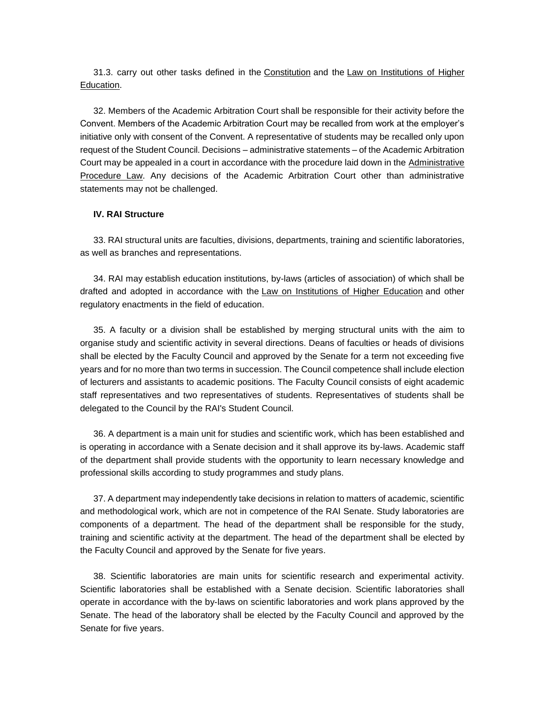31.3. carry out other tasks defined in the [Constitution](https://m.likumi.lv/ta/id/57980-latvijas-republikas-satversme) and the [Law on Institutions of Higher](https://m.likumi.lv/ta/id/37967-augstskolu-likums)  [Education.](https://m.likumi.lv/ta/id/37967-augstskolu-likums)

32. Members of the Academic Arbitration Court shall be responsible for their activity before the Convent. Members of the Academic Arbitration Court may be recalled from work at the employer's initiative only with consent of the Convent. A representative of students may be recalled only upon request of the Student Council. Decisions – administrative statements – of the Academic Arbitration Court may be appealed in a court in accordance with the procedure laid down in the [Administrative](https://m.likumi.lv/ta/id/55567-administrativa-procesa-likums)  [Procedure Law.](https://m.likumi.lv/ta/id/55567-administrativa-procesa-likums) Any decisions of the Academic Arbitration Court other than administrative statements may not be challenged.

#### **IV. RAI Structure**

33. RAI structural units are faculties, divisions, departments, training and scientific laboratories, as well as branches and representations.

34. RAI may establish education institutions, by-laws (articles of association) of which shall be drafted and adopted in accordance with the [Law on Institutions of Higher Education](https://m.likumi.lv/ta/id/37967-augstskolu-likums) and other regulatory enactments in the field of education.

35. A faculty or a division shall be established by merging structural units with the aim to organise study and scientific activity in several directions. Deans of faculties or heads of divisions shall be elected by the Faculty Council and approved by the Senate for a term not exceeding five years and for no more than two terms in succession. The Council competence shall include election of lecturers and assistants to academic positions. The Faculty Council consists of eight academic staff representatives and two representatives of students. Representatives of students shall be delegated to the Council by the RAI's Student Council.

36. A department is a main unit for studies and scientific work, which has been established and is operating in accordance with a Senate decision and it shall approve its by-laws. Academic staff of the department shall provide students with the opportunity to learn necessary knowledge and professional skills according to study programmes and study plans.

37. A department may independently take decisions in relation to matters of academic, scientific and methodological work, which are not in competence of the RAI Senate. Study laboratories are components of a department. The head of the department shall be responsible for the study, training and scientific activity at the department. The head of the department shall be elected by the Faculty Council and approved by the Senate for five years.

38. Scientific laboratories are main units for scientific research and experimental activity. Scientific laboratories shall be established with a Senate decision. Scientific laboratories shall operate in accordance with the by-laws on scientific laboratories and work plans approved by the Senate. The head of the laboratory shall be elected by the Faculty Council and approved by the Senate for five years.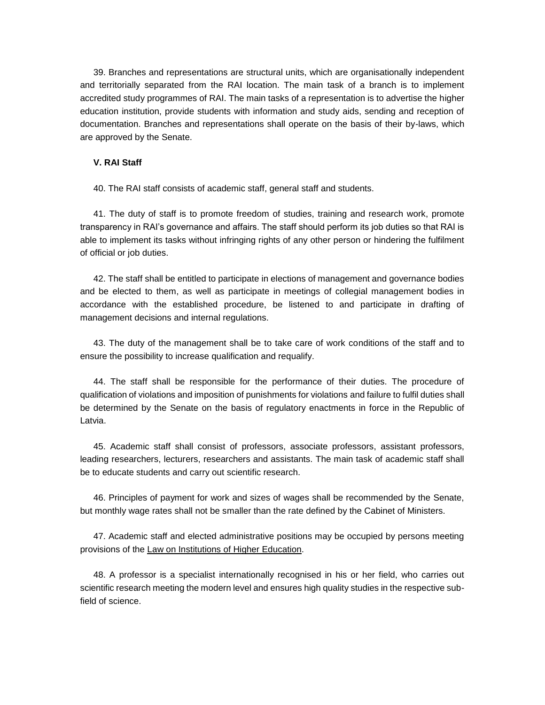39. Branches and representations are structural units, which are organisationally independent and territorially separated from the RAI location. The main task of a branch is to implement accredited study programmes of RAI. The main tasks of a representation is to advertise the higher education institution, provide students with information and study aids, sending and reception of documentation. Branches and representations shall operate on the basis of their by-laws, which are approved by the Senate.

# **V. RAI Staff**

40. The RAI staff consists of academic staff, general staff and students.

41. The duty of staff is to promote freedom of studies, training and research work, promote transparency in RAI's governance and affairs. The staff should perform its job duties so that RAI is able to implement its tasks without infringing rights of any other person or hindering the fulfilment of official or job duties.

42. The staff shall be entitled to participate in elections of management and governance bodies and be elected to them, as well as participate in meetings of collegial management bodies in accordance with the established procedure, be listened to and participate in drafting of management decisions and internal regulations.

43. The duty of the management shall be to take care of work conditions of the staff and to ensure the possibility to increase qualification and requalify.

44. The staff shall be responsible for the performance of their duties. The procedure of qualification of violations and imposition of punishments for violations and failure to fulfil duties shall be determined by the Senate on the basis of regulatory enactments in force in the Republic of Latvia.

45. Academic staff shall consist of professors, associate professors, assistant professors, leading researchers, lecturers, researchers and assistants. The main task of academic staff shall be to educate students and carry out scientific research.

46. Principles of payment for work and sizes of wages shall be recommended by the Senate, but monthly wage rates shall not be smaller than the rate defined by the Cabinet of Ministers.

47. Academic staff and elected administrative positions may be occupied by persons meeting provisions of the [Law on Institutions of Higher Education.](https://m.likumi.lv/ta/id/37967-augstskolu-likums)

48. A professor is a specialist internationally recognised in his or her field, who carries out scientific research meeting the modern level and ensures high quality studies in the respective subfield of science.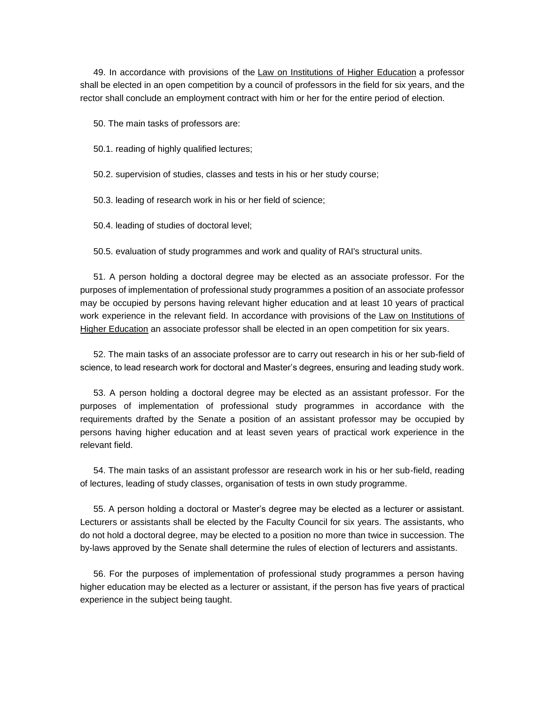49. In accordance with provisions of the [Law on Institutions of Higher Education](https://m.likumi.lv/ta/id/37967-augstskolu-likums) a professor shall be elected in an open competition by a council of professors in the field for six years, and the rector shall conclude an employment contract with him or her for the entire period of election.

50. The main tasks of professors are:

50.1. reading of highly qualified lectures;

50.2. supervision of studies, classes and tests in his or her study course;

50.3. leading of research work in his or her field of science;

50.4. leading of studies of doctoral level;

50.5. evaluation of study programmes and work and quality of RAI's structural units.

51. A person holding a doctoral degree may be elected as an associate professor. For the purposes of implementation of professional study programmes a position of an associate professor may be occupied by persons having relevant higher education and at least 10 years of practical work experience in the relevant field. In accordance with provisions of the [Law on Institutions of](https://m.likumi.lv/ta/id/37967-augstskolu-likums)  [Higher Education](https://m.likumi.lv/ta/id/37967-augstskolu-likums) an associate professor shall be elected in an open competition for six years.

52. The main tasks of an associate professor are to carry out research in his or her sub-field of science, to lead research work for doctoral and Master's degrees, ensuring and leading study work.

53. A person holding a doctoral degree may be elected as an assistant professor. For the purposes of implementation of professional study programmes in accordance with the requirements drafted by the Senate a position of an assistant professor may be occupied by persons having higher education and at least seven years of practical work experience in the relevant field.

54. The main tasks of an assistant professor are research work in his or her sub-field, reading of lectures, leading of study classes, organisation of tests in own study programme.

55. A person holding a doctoral or Master's degree may be elected as a lecturer or assistant. Lecturers or assistants shall be elected by the Faculty Council for six years. The assistants, who do not hold a doctoral degree, may be elected to a position no more than twice in succession. The by-laws approved by the Senate shall determine the rules of election of lecturers and assistants.

56. For the purposes of implementation of professional study programmes a person having higher education may be elected as a lecturer or assistant, if the person has five years of practical experience in the subject being taught.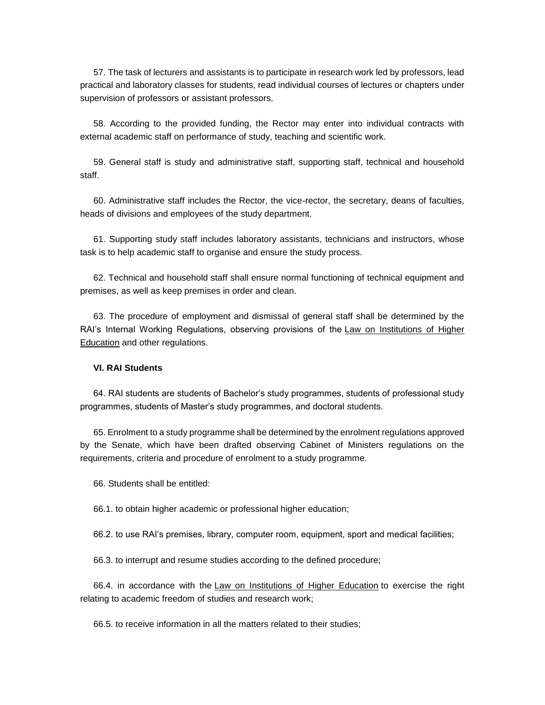57. The task of lecturers and assistants is to participate in research work led by professors, lead practical and laboratory classes for students, read individual courses of lectures or chapters under supervision of professors or assistant professors.

58. According to the provided funding, the Rector may enter into individual contracts with external academic staff on performance of study, teaching and scientific work.

59. General staff is study and administrative staff, supporting staff, technical and household staff.

60. Administrative staff includes the Rector, the vice-rector, the secretary, deans of faculties, heads of divisions and employees of the study department.

61. Supporting study staff includes laboratory assistants, technicians and instructors, whose task is to help academic staff to organise and ensure the study process.

62. Technical and household staff shall ensure normal functioning of technical equipment and premises, as well as keep premises in order and clean.

63. The procedure of employment and dismissal of general staff shall be determined by the RAI's Internal Working Regulations, observing provisions of the [Law on Institutions of Higher](https://m.likumi.lv/ta/id/37967-augstskolu-likums)  [Education](https://m.likumi.lv/ta/id/37967-augstskolu-likums) and other regulations.

# **VI. RAI Students**

64. RAI students are students of Bachelor's study programmes, students of professional study programmes, students of Master's study programmes, and doctoral students.

65. Enrolment to a study programme shall be determined by the enrolment regulations approved by the Senate, which have been drafted observing Cabinet of Ministers regulations on the requirements, criteria and procedure of enrolment to a study programme.

66. Students shall be entitled:

66.1. to obtain higher academic or professional higher education;

66.2. to use RAI's premises, library, computer room, equipment, sport and medical facilities;

66.3. to interrupt and resume studies according to the defined procedure;

66.4. in accordance with the [Law on Institutions of Higher Education](https://m.likumi.lv/ta/id/37967-augstskolu-likums) to exercise the right relating to academic freedom of studies and research work;

66.5. to receive information in all the matters related to their studies;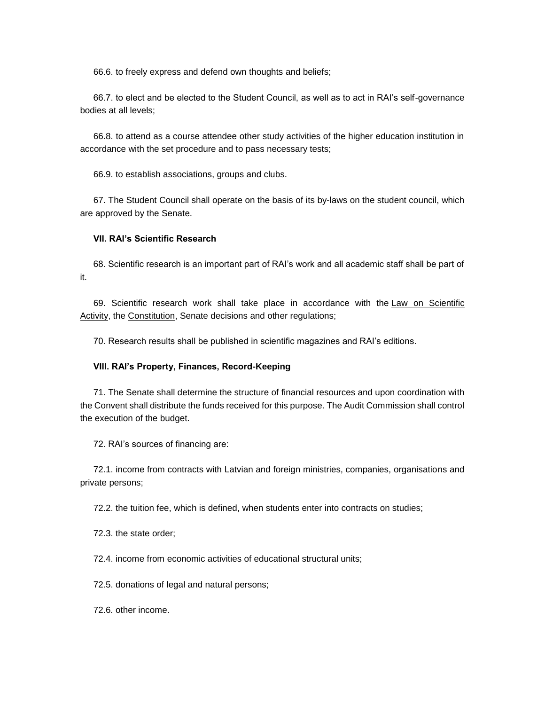66.6. to freely express and defend own thoughts and beliefs;

66.7. to elect and be elected to the Student Council, as well as to act in RAI's self-governance bodies at all levels;

66.8. to attend as a course attendee other study activities of the higher education institution in accordance with the set procedure and to pass necessary tests;

66.9. to establish associations, groups and clubs.

67. The Student Council shall operate on the basis of its by-laws on the student council, which are approved by the Senate.

## **VII. RAI's Scientific Research**

68. Scientific research is an important part of RAI's work and all academic staff shall be part of it.

69. Scientific research work shall take place in accordance with the [Law on Scientific](https://m.likumi.lv/ta/id/107337-zinatniskas-darbibas-likums)  [Activity,](https://m.likumi.lv/ta/id/107337-zinatniskas-darbibas-likums) the [Constitution,](https://m.likumi.lv/ta/id/57980-latvijas-republikas-satversme) Senate decisions and other regulations;

70. Research results shall be published in scientific magazines and RAI's editions.

## **VIII. RAI's Property, Finances, Record-Keeping**

71. The Senate shall determine the structure of financial resources and upon coordination with the Convent shall distribute the funds received for this purpose. The Audit Commission shall control the execution of the budget.

72. RAI's sources of financing are:

72.1. income from contracts with Latvian and foreign ministries, companies, organisations and private persons;

72.2. the tuition fee, which is defined, when students enter into contracts on studies;

72.3. the state order;

72.4. income from economic activities of educational structural units;

72.5. donations of legal and natural persons;

72.6. other income.